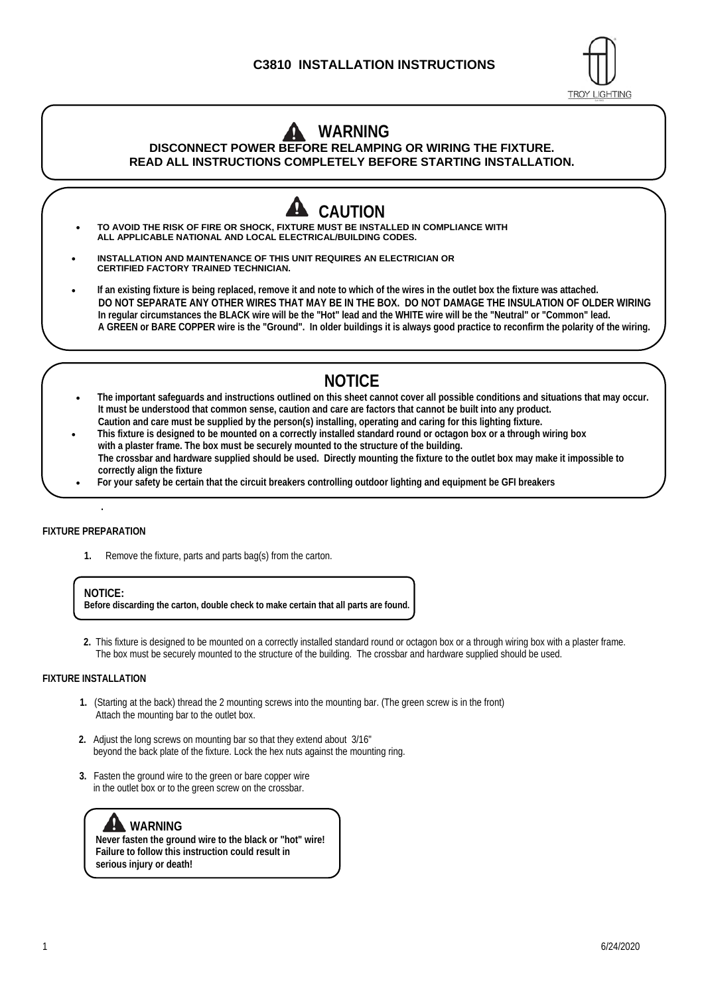## **C3810 INSTALLATION INSTRUCTIONS**



## **WARNING DISCONNECT POWER BEFORE RELAMPING OR WIRING THE FIXTURE. READ ALL INSTRUCTIONS COMPLETELY BEFORE STARTING INSTALLATION.**

- **CAUTION TO AVOID THE RISK OF FIRE OR SHOCK, FIXTURE MUST BE INSTALLED IN COMPLIANCE WITH ALL APPLICABLE NATIONAL AND LOCAL ELECTRICAL/BUILDING CODES. INSTALLATION AND MAINTENANCE OF THIS UNIT REQUIRES AN ELECTRICIAN OR CERTIFIED FACTORY TRAINED TECHNICIAN. If an existing fixture is being replaced, remove it and note to which of the wires in the outlet box the fixture was attached. DO NOT SEPARATE ANY OTHER WIRES THAT MAY BE IN THE BOX. DO NOT DAMAGE THE INSULATION OF OLDER WIRING In regular circumstances the BLACK wire will be the "Hot" lead and the WHITE wire will be the "Neutral" or "Common" lead.**
	- **A GREEN or BARE COPPER wire is the "Ground". In older buildings it is always good practice to reconfirm the polarity of the wiring.**

# **NOTICE**

- **The important safeguards and instructions outlined on this sheet cannot cover all possible conditions and situations that may occur. It must be understood that common sense, caution and care are factors that cannot be built into any product. Caution and care must be supplied by the person(s) installing, operating and caring for this lighting fixture.**
- **This fixture is designed to be mounted on a correctly installed standard round or octagon box or a through wiring box with a plaster frame. The box must be securely mounted to the structure of the building. The crossbar and hardware supplied should be used. Directly mounting the fixture to the outlet box may make it impossible to correctly align the fixture**
- **For your safety be certain that the circuit breakers controlling outdoor lighting and equipment be GFI breakers**

#### **FIXTURE PREPARATION**

**.** 

**1.** Remove the fixture, parts and parts bag(s) from the carton.

**NOTICE:**

**Before discarding the carton, double check to make certain that all parts are found.** 

 **2.** This fixture is designed to be mounted on a correctly installed standard round or octagon box or a through wiring box with a plaster frame. The box must be securely mounted to the structure of the building. The crossbar and hardware supplied should be used.

### **FIXTURE INSTALLATION**

- **1.** (Starting at the back) thread the 2 mounting screws into the mounting bar. (The green screw is in the front) Attach the mounting bar to the outlet box.
- **2.** Adjust the long screws on mounting bar so that they extend about 3/16" beyond the back plate of the fixture. Lock the hex nuts against the mounting ring.
- **3.** Fasten the ground wire to the green or bare copper wire in the outlet box or to the green screw on the crossbar.



**Never fasten the ground wire to the black or "hot" wire! Failure to follow this instruction could result in serious injury or death!**